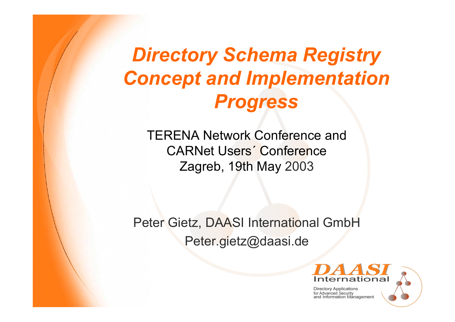# *Directory Schema Registry Concept and Implementation Progress*

TERENA Network Conference and CARNet Users´ ConferenceZagreb, 19th May 2003

Peter Gietz, DAASI International GmbH Peter.gietz@daasi.de

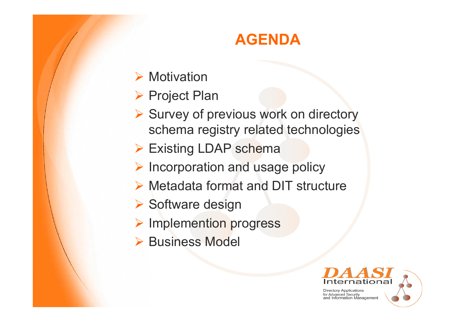### **AGENDA**

- $\triangleright$  Motivation
- ▶ Project Plan
- **► Survey of previous work on directory** schema registry related technologies
- ▶ Existing LDAP schema
- ¾ Incorporation and usage policy
- ¾ Metadata format and DIT structure
- ▶ Software design
- ¾ Implemention progress
- **▶ Business Model**

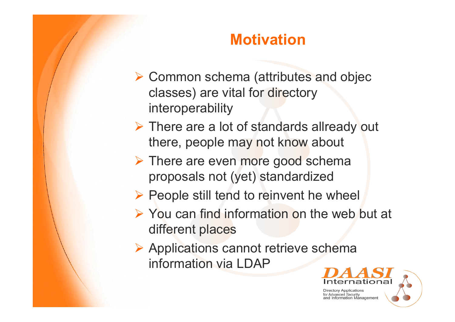#### **Motivation**

- ¾ Common schema (attributes and objec classes) are vital for directory interoperability
- ¾ There are a lot of standards allready out there, people may not know about
- **► There are even more good schema** proposals not (yet) standardized
- ¾ People still tend to reinvent he wheel
- ¾ You can find information on the web but at different places
- ¾ Applications cannot retrieve schema information via LDAP

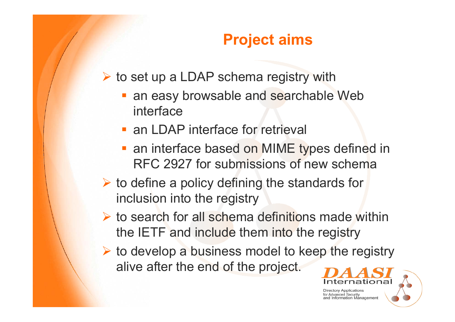### **Project aims**

¾ to set up a LDAP schema registry with

- an easy browsable and searchable Web interface
- **an LDAP interface for retrieval**
- an interface based on MIME types defined in RFC 2927 for submissions of new schema
- $\triangleright$  to define a policy defining the standards for inclusion into the registry
- $\triangleright$  to search for all schema definitions made within the IETF and include them into the registry
- $\triangleright$  to develop a business model to keep the registry alive after the end of the project.



and Information Management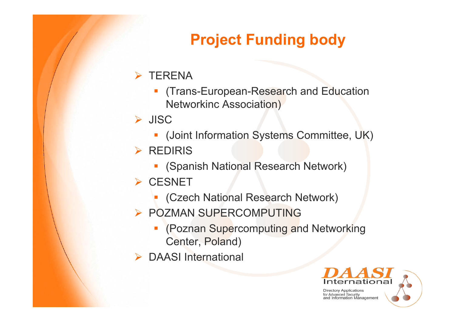# **Project Funding body**

#### $\triangleright$  TERENA

**STATE**  (Trans-European-Research and Education Networkinc Association)

#### ¾ JISC

- **(Joint Information Systems Committee, UK)**
- ¾ REDIRIS
	- (Spanish National Research Network)
- ¾ CESNET
	- **STATE** (Czech National Research Network)
- ¾ POZMAN SUPERCOMPUTING
	- **Contract Contract Contract Contract Contract Contract Contract Contract Contract Contract Contract Contract C**  (Poznan Supercomputing and Networking Center, Poland)
- ¾ DAASI International

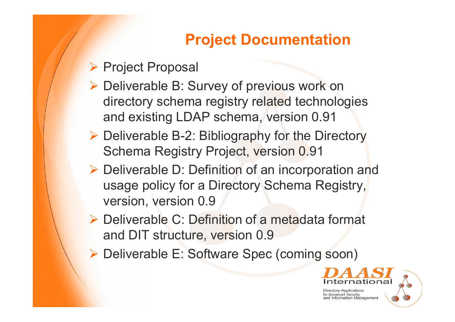### **Project Documentation**

#### ▶ Project Proposal

- ¾ Deliverable B: Survey of previous work on directory schema registry related technologies and existing LDAP schema, version 0.91
- ¾ Deliverable B-2: Bibliography for the Directory Schema Registry Project, version 0.91
- ¾ Deliverable D: Definition of an incorporation and usage policy for a Directory Schema Registry, version, version 0.9
- ¾ Deliverable C: Definition of a metadata format and DIT structure, version 0.9
- ¾ Deliverable E: Software Spec (coming soon)

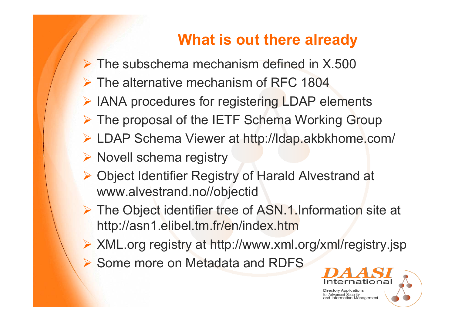### **What is out there already**

- $\triangleright$  The subschema mechanism defined in X.500
- ¾ The alternative mechanism of RFC 1804
- ¾ IANA procedures for registering LDAP elements
- ¾ The proposal of the IETF Schema Working Group
- ¾ LDAP Schema Viewer at http://ldap.akbkhome.com/
- ¾ Novell schema registry
- ¾ Object Identifier Registry of Harald Alvestrand at www.alvestrand.no//objectid
- ¾ The Object identifier tree of ASN.1.Information site at http://asn1.elibel.tm.fr/en/index.htm
- ¾ XML.org registry at http://www.xml.org/xml/registry.jsp
- **▶ Some more on Metadata and RDFS**

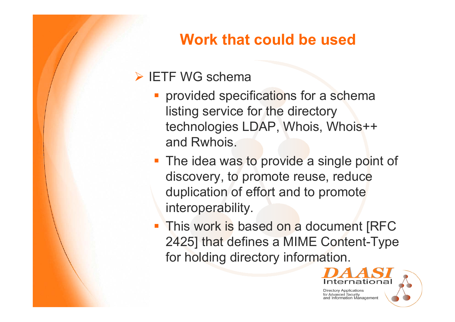### **Work that could be used**

#### ¾ IETF WG schema

- **Perovided specifications for a schema** listing service for the directory technologies LDAP, Whois, Whois++ and Rwhois.
- **The idea was to provide a single point of** discovery, to promote reuse, reduce duplication of effort and to promote interoperability.
- **This work is based on a document [RFC** 2425] that defines a MIME Content-Type for holding directory information.

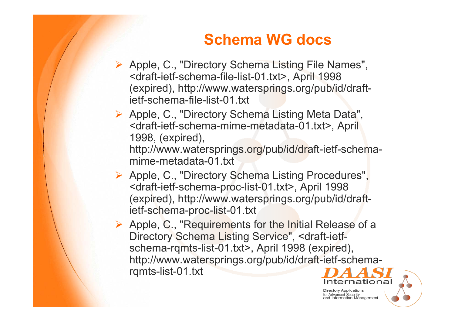### **Schema WG docs**

- ¾ Apple, C., "Directory Schema Listing File Names", <draft-ietf-schema-file-list-01.txt>, April 1998 (expired), http://www.watersprings.org/pub/id/draftietf-schema-file-list-01.txt
- ¾ Apple, C., "Directory Schema Listing Meta Data", <draft-ietf-schema-mime-metadata-01.txt>, April 1998, (expired), http://www.watersprings.org/pub/id/draft-ietf-schema
	- mime-metadata-01.txt
- ¾ Apple, C., "Directory Schema Listing Procedures", <draft-ietf-schema-proc-list-01.txt>, April 1998 (expired), http://www.watersprings.org/pub/id/draftietf-schema-proc-list-01.txt
- ¾ Apple, C., "Requirements for the Initial Release of a Directory Schema Listing Service", <draft-ietfschema-rqmts-list-01.txt>, April 1998 (expired), http://www.watersprings.org/pub/id/draft-ietf-schemarqmts-list-01.txt

**Directory Applications** for Advanced Security and Information Management

ernationa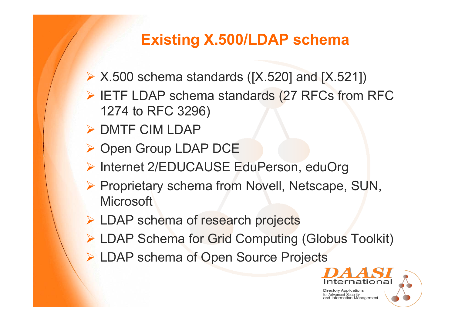### **Existing X.500/LDAP schema**

- ¾ X.500 schema standards ([X.520] and [X.521])
- ¾ IETF LDAP schema standards (27 RFCs from RFC 1274 to RFC 3296)
- ¾ DMTF CIM LDAP
- ▶ Open Group LDAP DCE
- ¾ Internet 2/EDUCAUSE EduPerson, eduOrg
- ¾ Proprietary schema from Novell, Netscape, SUN, **Microsoft**
- ¾ LDAP schema of research projects
- ¾ LDAP Schema for Grid Computing (Globus Toolkit)
- ¾ LDAP schema of Open Source Projects

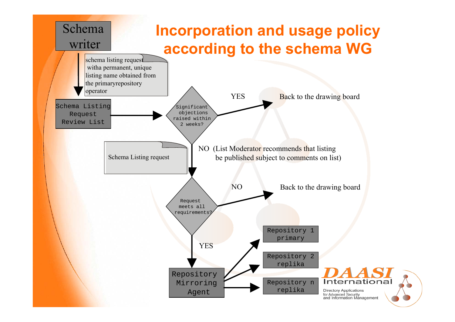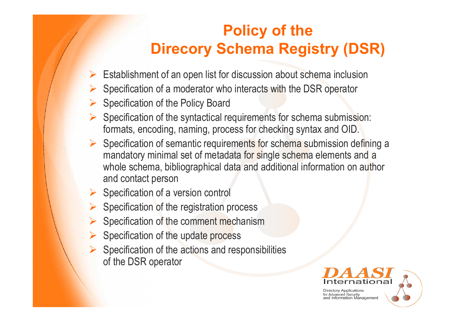### **Policy of the Direcory Schema Registry (DSR)**

- $\triangleright$  Establishment of an open list for discussion about schema inclusion
- ¾ Specification of a moderator who interacts with the DSR operator
- $\triangleright$  Specification of the Policy Board
- $\triangleright$  Specification of the syntactical requirements for schema submission: formats, encoding, naming, process for checking syntax and OID.
- ¾ Specification of semantic requirements for schema submission defining a mandatory minimal set of metadata for single schema elements and <sup>a</sup> whole schema, bibliographical data and additional information on author and contact person
- $\triangleright$  Specification of a version control
- $\triangleright$  Specification of the registration process
- ¾Specification of the comment mechanism
- $\triangleright$  Specification of the update process
- $\triangleright$  Specification of the actions and responsibilities of the DSR operator

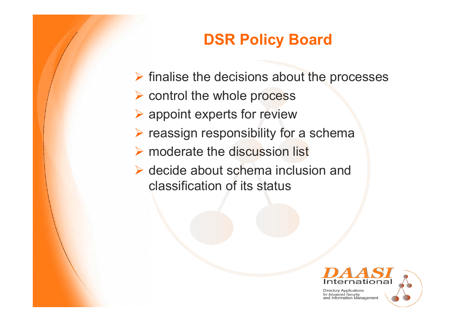## **DSR Policy Board**

- $\triangleright$  finalise the decisions about the processes
- ¾ control the whole process
- $\blacktriangleright$  appoint experts for review
- $\triangleright$  reassign responsibility for a schema
- $\triangleright$  moderate the discussion list
- $\triangleright$  decide about schema inclusion and classification of its status

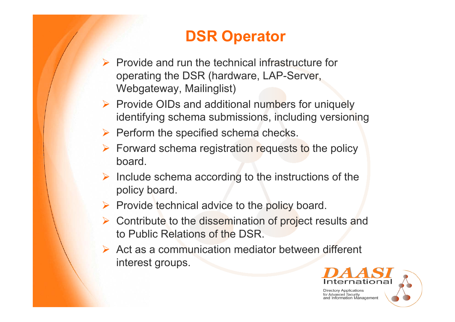## **DSR Operator**

- $\triangleright$  Provide and run the technical infrastructure for operating the DSR (hardware, LAP-Server, Webgateway, Mailinglist)
- ¾ Provide OIDs and additional numbers for uniquely identifying schema submissions, including versioning
- $\triangleright$  Perform the specified schema checks.
- $\triangleright$  Forward schema registration requests to the policy board.
- $\triangleright$  Include schema according to the instructions of the policy board.
- $\triangleright$  Provide technical advice to the policy board.
- **► Contribute to the dissemination of project results and** to Public Relations of the DSR.
- $\triangleright$  Act as a communication mediator between different interest groups.

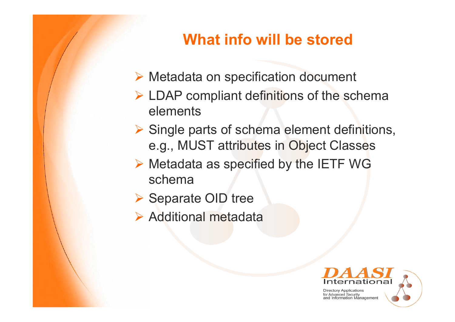### **What info will be stored**

- ¾ Metadata on specification document
- ¾ LDAP compliant definitions of the schema elements
- **► Single parts of schema element definitions,** e.g., MUST attributes in Object Classes
- ¾ Metadata as specified by the IETF WG schema
- ▶ Separate OID tree
- $\triangleright$  Additional metadata

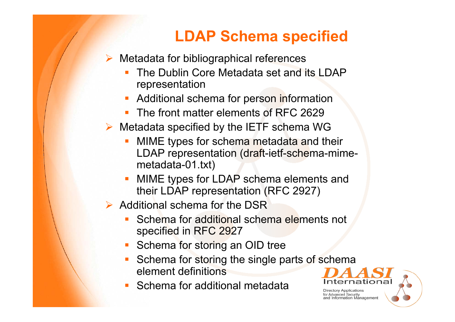### **LDAP Schema specified**

 $\triangleright$  Metadata for bibliographical references

- The Dublin Core Metadata set and its LDAP representation
- Additional schema for person information
- Ξ The front matter elements of RFC 2629
- $\triangleright$  Metadata specified by the IETF schema WG
	- MIME types for schema metadata and their LDAP representation (draft-ietf-schema-mimemetadata-01.txt)
	- MIME types for LDAP schema elements and their LDAP representation (RFC 2927)
- $\triangleright$  Additional schema for the DSR
	- Schema for additional schema elements not specified in RFC 2927
	- Schema for storing an OID tree
	- Schema for storing the single parts of schema element definitions
	- Schema for additional metadata

**Directory Applications** for Advanced Security

Information Management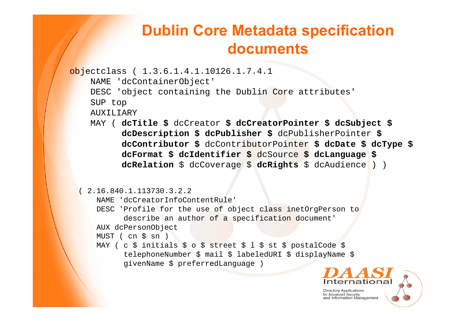#### **Dublin Core Metadata specification documents**

```
objectclass ( 1.3.6.1.4.1.10126.1.7.4.1
    NAME 'dcContainerObject'
    DESC 'object containing the Dublin Core attributes'
    SUP top
    AUXILIARYMAY ( dcTitle $ dcCreator $ dcCreatorPointer $ dcSubject $
          dcDescription $ dcPublisher $ dcPublisherPointer $
           dcContributor $ dcContributorPointer $ dcDate $ dcType $
           dcFormat $ dcIdentifier $ dcSource $ dcLanguage $
           dcRelation $ dcCoverage $ dcRights $ dcAudience ) )
 ( 2.16.840.1.113730.3.2.2 
     NAME 'dcCreatorInfoContentRule'
     DESC 'Profile for the use of object class inetOrgPerson to 
           describe an author of a specification document'
     AUX dcPersonObject
     MUST ( cn $ sn )
     MAY ( c $ initials $ o $ street $ l $ st $ postalCode $
           telephoneNumber $ mail $ labeledURI $ displayName $
           givenName $ preferredLanguage )
```
**Directory Applications** 

for Advanced Security and Information Management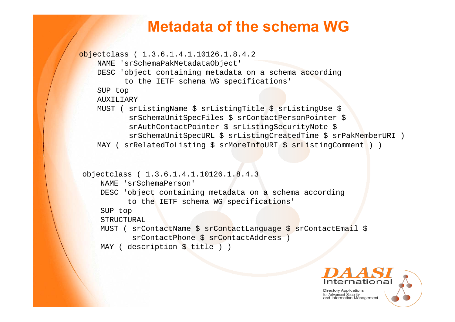#### **Metadata of the schema WG**

```
objectclass ( 1.3.6.1.4.1.10126.1.8.4.2
    NAME 'srSchemaPakMetadataObject'
    DESC 'object containing metadata on a schema according
          to the IETF schema WG specifications'
    SUP top
    AUXILIARY
   MUST ( srListingName $ srListingTitle $ srListingUse $
           srSchemaUnitSpecFiles $ srContactPersonPointer $
           srAuthContactPointer $ srListingSecurityNote $
           srSchemaUnitSpecURL $ srListingCreatedTime $ srPakMemberURI )
   MAY ( srRelatedToListing $ srMoreInfoURI $ srListingComment ) )
objectclass ( 1.3.6.1.4.1.10126.1.8.4.3
     NAME 'srSchemaPerson'
    DESC 'object containing metadata on a schema according
          to the IETF schema WG specifications'
    SUP top
    STRUCTURAL
    MUST ( srContactName $ srContactLanguage $ srContactEmail $
            srContactPhone $ srContactAddress )
    MAY ( description $ title ) )
```
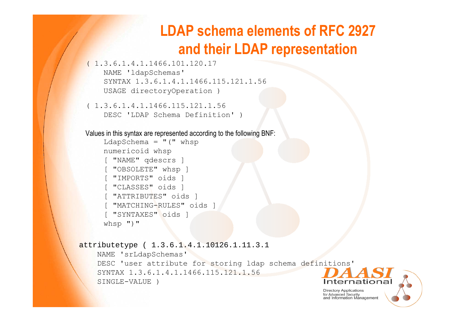#### **LDAP schema elements of RFC 2927 and their LDAP representation**

```
( 1.3.6.1.4.1.1466.101.120.17 
    NAME 'ldapSchemas'
   SYNTAX 1.3.6.1.4.1.1466.115.121.1.56 USAGE directoryOperation )
```

```
( 1.3.6.1.4.1.1466.115.121.1.56 
   DESC 'LDAP Schema Definition' )
```
Values in this syntax are represented according to the following BNF:

```
LdapSchema = "("numericoid whsp
[ "NAME" qdescrs ]
 [ "OBSOLETE" whsp ]
[ "IMPORTS" oids ]
[ "CLASSES" oids ]
[ "ATTRIBUTES" oids ]
[ "MATCHING-RULES" oids ]
[ "SYNTAXES" oids ]
whsp ")"
```

```
attributetype ( 1.3.6.1.4.1.10126.1.11.3.1
    NAME 'srLdapSchemas'
   DESC 'user attribute for storing ldap schema definitions'
    SYNTAX 1.3.6.1.4.1.1466.115.121.1.56 SINGLE-VALUE )Internationa
```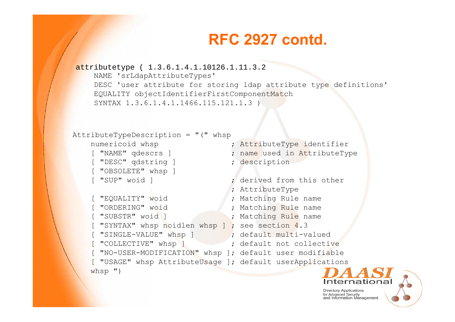#### **RFC 2927 contd.**

```
attributetype ( 1.3.6.1.4.1.10126.1.11.3.2
    NAME 'srLdapAttributeTypes'
    DESC 'user attribute for storing ldap attribute type definitions'
    EQUALITY objectIdentifierFirstComponentMatch
    SYNTAX 1.3.6.1.4.1.1466.115.121.1.3 )
```

```
AttributeTypeDescription ="(" whsp
   numericoid whsp \qquad \qquad ; AttributeType identifier
    [ "NAME" qdescrs ] \qquad \qquad ; name used in AttributeType
    [ "DESC" qdstring ] \qquad \qquad ; description
    [ "OBSOLETE" whsp ]
    [ "SUP" woid ] \qquad \qquad ; derived from this other
                                 ; AttributeType
    [ "EQUALITY" woid ; Matching Rule name
    [ "ORDERING" woid ; Matching Rule name
    [ "SUBSTR" woid ] ; Matching Rule name
    [ "SYNTAX" whsp noidlen whsp ] ; see section 4.3
    [ "SINGLE-VALUE" whsp ] ; default multi-valued
    [ "COLLECTIVE" whsp ] ; default not collective
    [ "NO-USER-MODIFICATION" whsp ]; default user modifiable
    [ "USAGE" whsp AttributeUsage ]; default userApplications
   whsp ")
```
**Directory Applications** for Advanced Security<br>and Information Management

Internationa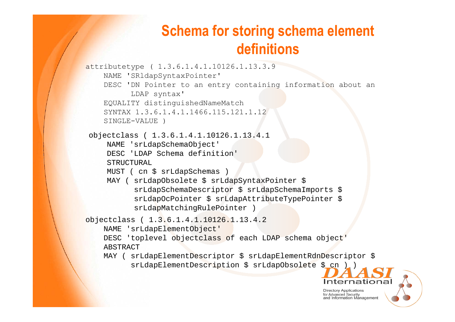#### **Schema for storing schema element definitions**

```
attributetype ( 1.3.6.1.4.1.10126.1.13.3.9
    NAME 'SRldapSyntaxPointer'
    DESC 'DN Pointer to an entry containing information about an
         LDAP syntax'
    EQUALITY distinguishedNameMatch
    SYNTAX 1.3.6.1.4.1.1466.115.121.1.12SINGLE-VALUE )
objectclass ( 1.3.6.1.4.1.10126.1.13.4.1
     NAME 'srLdapSchemaObject'
    DESC 'LDAP Schema definition'STRUCTURALMUST ( cn $ srLdapSchemas )
    MAY ( srLdapObsolete $ srLdapSyntaxPointer $
          srLdapSchemaDescriptor $ srLdapSchemaImports $
          srLdapOcPointer $ srLdapAttributeTypePointer $
          srLdapMatchingRulePointer )
objectclass ( 1.3.6.1.4.1.10126.1.13.4.2
    NAME 'srLdapElementObject'
    DESC 'toplevel objectclass of each LDAP schema object'
    ABSTRACT MAY ( srLdapElementDescriptor $ srLdapElementRdnDescriptor $
          srLdapElementDescription $ srLdapObsolete $ cn ) )
```
**Directory Applications** for Advanced Security and Information Management

Internationa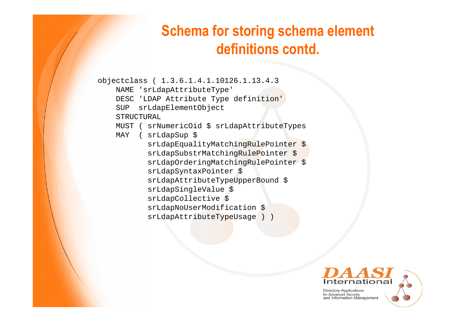#### **Schema for storing schema element definitions contd.**

```
objectclass ( 1.3.6.1.4.1.10126.1.13.4.3
    NAME 'srLdapAttributeType'
   DESC 'LDAP Attribute Type definition'
    SUP srLdapElementObject
    STRUCTURAL
   MUST ( srNumericOid $ srLdapAttributeTypes
   MAY ( srLdapSup $
           srLdapEqualityMatchingRulePointer $
           srLdapSubstrMatchingRulePointer $
           srLdapOrderingMatchingRulePointer $
           srLdapSyntaxPointer $
           srLdapAttributeTypeUpperBound $
           srLdapSingleValue $
           srLdapCollective $
           srLdapNoUserModification $
           srLdapAttributeTypeUsage ) )
```
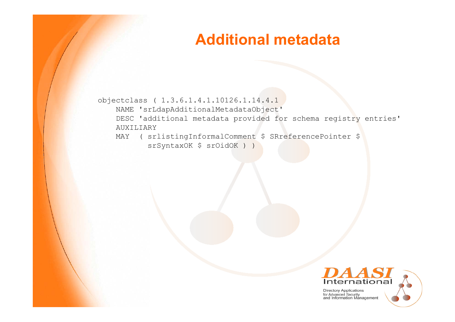#### **Additional metadata**

```
objectclass ( 1.3.6.1.4.1.10126.1.14.4.1
    NAME 'srLdapAdditionalMetadataObject'
   DESC 'additional metadata provided for schema registry entries'
   AUXILIARYMAY ( srlistingInformalComment $ SRreferencePointer $
           srSyntaxOK $ srOidOK ) )
```
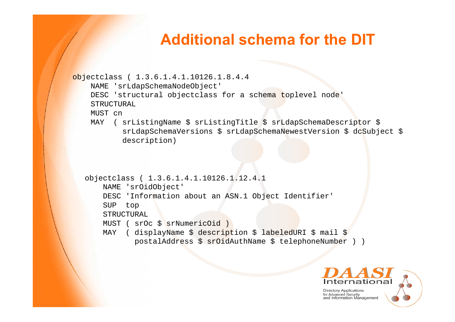#### **Additional schema for the DIT**

```
objectclass ( 1.3.6.1.4.1.10126.1.8.4.4
    NAME 'srLdapSchemaNodeObject'
    DESC 'structural objectclass for a schema toplevel node'
    STRUCTURALMUST cn
    MAY ( srListingName $ srListingTitle $ srLdapSchemaDescriptor $
           srLdapSchemaVersions $ srLdapSchemaNewestVersion $ dcSubject $
           description) 
  objectclass ( 1.3.6.1.4.1.10126.1.12.4.1
       NAME 'srOidObject'
      DESC 'Information about an ASN.1 Object Identifier'
      SUP top
      STRUCTURAL
```

```
MUST ( srOc $ srNumericOid )
```

```
MAY ( displayName $ description $ labeledURI $ mail $
      postalAddress $ srOidAuthName $ telephoneNumber ) )
```
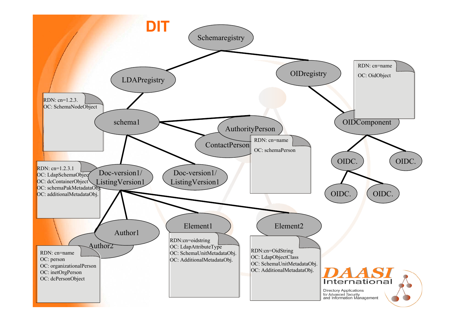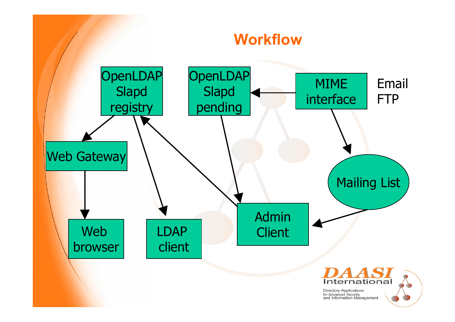#### **Workflow**



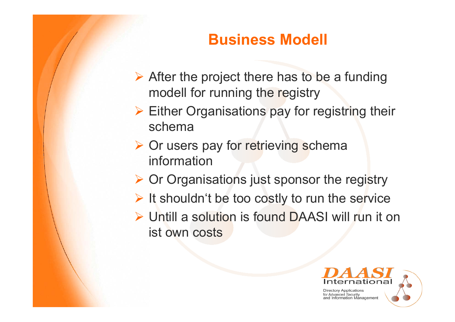### **Business Modell**

- $\triangleright$  After the project there has to be a funding modell for running the registry
- $\triangleright$  Either Organisations pay for registring their schema
- **▶ Or users pay for retrieving schema** information
- ¾ Or Organisations just sponsor the registry
- $\triangleright$  It shouldn't be too costly to run the service
- ¾ Untill a solution is found DAASI will run it on ist own costs